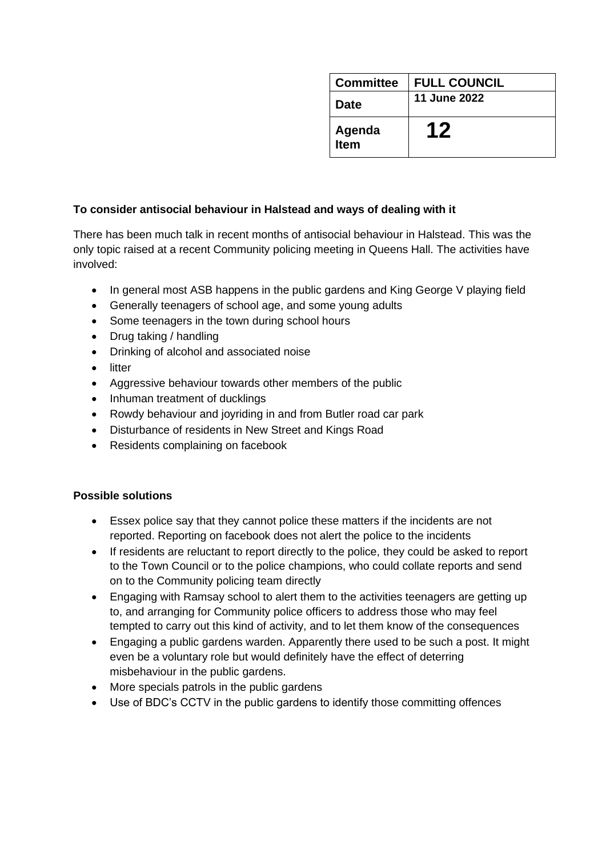| <b>Committee</b> | <b>FULL COUNCIL</b> |
|------------------|---------------------|
| Date             | <b>11 June 2022</b> |
| Agenda<br>Item   |                     |

## **To consider antisocial behaviour in Halstead and ways of dealing with it**

There has been much talk in recent months of antisocial behaviour in Halstead. This was the only topic raised at a recent Community policing meeting in Queens Hall. The activities have involved:

- In general most ASB happens in the public gardens and King George V playing field
- Generally teenagers of school age, and some young adults
- Some teenagers in the town during school hours
- Drug taking / handling
- Drinking of alcohol and associated noise
- litter
- Aggressive behaviour towards other members of the public
- Inhuman treatment of ducklings
- Rowdy behaviour and joyriding in and from Butler road car park
- Disturbance of residents in New Street and Kings Road
- Residents complaining on facebook

## **Possible solutions**

- Essex police say that they cannot police these matters if the incidents are not reported. Reporting on facebook does not alert the police to the incidents
- If residents are reluctant to report directly to the police, they could be asked to report to the Town Council or to the police champions, who could collate reports and send on to the Community policing team directly
- Engaging with Ramsay school to alert them to the activities teenagers are getting up to, and arranging for Community police officers to address those who may feel tempted to carry out this kind of activity, and to let them know of the consequences
- Engaging a public gardens warden. Apparently there used to be such a post. It might even be a voluntary role but would definitely have the effect of deterring misbehaviour in the public gardens.
- More specials patrols in the public gardens
- Use of BDC's CCTV in the public gardens to identify those committing offences